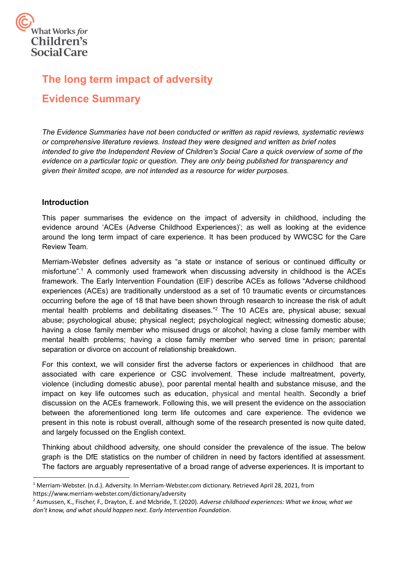

# **The long term impact of adversity Evidence Summary**

*The Evidence Summaries have not been conducted or written as rapid reviews, systematic reviews or comprehensive literature reviews. Instead they were designed and written as brief notes intended to give the Independent Review of Children's Social Care a quick overview of some of the evidence on a particular topic or question. They are only being published for transparency and given their limited scope, are not intended as a resource for wider purposes.*

## **Introduction**

 This paper summarises the evidence on the impact of adversity in childhood, including the evidence around 'ACEs (Adverse Childhood Experiences)'; as well as looking at the evidence around the long term impact of care experience. It has been produced by WWCSC for the Care Review Team.

 Merriam-Webster defines adversity as "a state or instance of serious or continued difficulty or misfortune".<sup>1</sup> A commonly used framework when discussing adversity in childhood is the ACEs framework. The Early Intervention Foundation (EIF) describe ACEs as follows "Adverse childhood experiences (ACEs) are traditionally understood as a set of 10 traumatic events or circumstances occurring before the age of 18 that have been shown through research to increase the risk of adult mental health problems and debilitating diseases."<sup>2</sup> The 10 ACEs are, physical abuse; sexual abuse; psychological abuse; physical neglect; psychological neglect; witnessing domestic abuse; having a close family member who misused drugs or alcohol; having a close family member with mental health problems; having a close family member who served time in prison; parental separation or divorce on account of relationship breakdown.

 For this context, we will consider first the adverse factors or experiences in childhood that are associated with care experience or CSC involvement. These include maltreatment, poverty, violence (including domestic abuse), poor parental mental health and substance misuse, and the impact on key life outcomes such as education, physical and mental health. Secondly a brief discussion on the ACEs framework. Following this, we will present the evidence on the association between the aforementioned long term life outcomes and care experience. The evidence we present in this note is robust overall, although some of the research presented is now quite dated, and largely focussed on the English context.

 Thinking about childhood adversity, one should consider the prevalence of the issue. The below graph is the DfE statistics on the number of children in need by factors identified at assessment. The factors are arguably representative of a broad range of adverse experiences. It is important to

<sup>1</sup> Merriam-Webster. (n.d.). Adversity. In [Merriam-Webster.com](https://Merriam-Webster.com) dictionary. Retrieved April 28, 2021, from <https://www.merriam-webster.com/dictionary/adversity>

<sup>2</sup> Asmussen, K., Fischer, F., Drayton, E. and Mcbride, T. (2020). *Adverse childhood experiences: What we know, what we don't know, and what should happen next*. *Early Intervention Foundation*.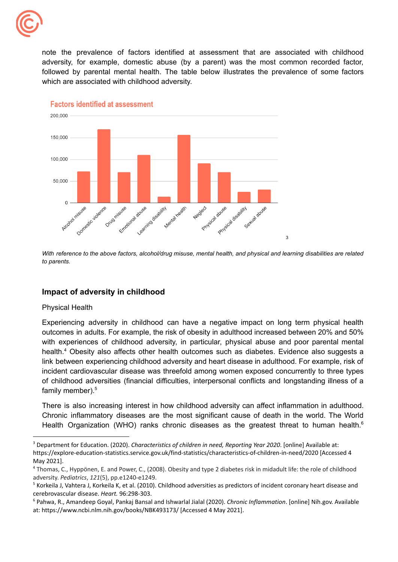

 which are associated with childhood adversity. note the prevalence of factors identified at assessment that are associated with childhood adversity, for example, domestic abuse (by a parent) was the most common recorded factor, followed by parental mental health. The table below illustrates the prevalence of some factors



**Factors identified at assessment** 

With reference to the above factors, alcohol/drug misuse, mental health, and physical and learning disabilities are related *to parents.*

## **Impact of adversity in childhood**

#### Physical Health

Experiencing adversity in childhood can have a negative impact on long term physical health outcomes in adults. For example, the risk of obesity in adulthood increased between 20% and 50% with experiences of childhood adversity, in particular, physical abuse and poor parental mental health.<sup>4</sup> Obesity also affects other health outcomes such as diabetes. Evidence also suggests a link between experiencing childhood adversity and heart disease in adulthood. For example, risk of incident cardiovascular disease was threefold among women exposed concurrently to three types of childhood adversities (financial difficulties, interpersonal conflicts and longstanding illness of a family member).<sup>5</sup>

There is also increasing interest in how childhood adversity can affect inflammation in adulthood. Chronic inflammatory diseases are the most significant cause of death in the world. The World Health Organization (WHO) ranks chronic diseases as the greatest threat to human health.<sup>6</sup>

 <sup>3</sup> Department for Education. (2020). *Characteristics of children in need, Reporting Year 2020*. [online] Available at: <https://explore-education-statistics.service.gov.uk/find-statistics/characteristics-of-children-in-need/2020> [Accessed 4 May 2021].

<sup>&</sup>lt;sup>4</sup> Thomas, C., Hyppönen, E. and Power, C., (2008). Obesity and type 2 diabetes risk in midadult life: the role of childhood adversity. *Pediatrics*, *121*(5), pp.e1240-e1249.

<sup>&</sup>lt;sup>5</sup> Korkeila J, Vahtera J, Korkeila K, et al. (2010). Childhood adversities as predictors of incident coronary heart disease and cerebrovascular disease. *Heart.* 96:298-303.

 <sup>6</sup> Pahwa, R., Amandeep Goyal, Pankaj Bansal and Ishwarlal Jialal (2020). *Chronic Inflammation*. [online] Nih.gov. Available at: [https://www.ncbi.nlm.nih.gov/books/NBK493173/](https://www.ncbi.nlm.nih.gov/books/NBK493173) [Accessed 4 May 2021].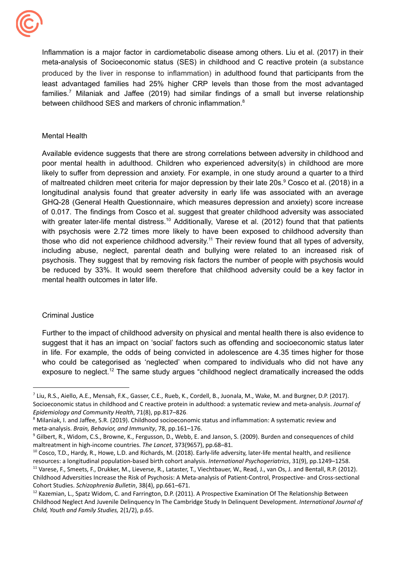

between childhood SES and markers of chronic inflammation. $8$ Inflammation is a major factor in cardiometabolic disease among others. Liu et al. (2017) in their meta-analysis of Socioeconomic status (SES) in childhood and C reactive protein (a substance produced by the liver in response to inflammation) in adulthood found that participants from the least advantaged families had 25% higher CRP levels than those from the most advantaged families.<sup>7</sup> Milaniak and Jaffee (2019) had similar findings of a small but inverse relationship

### Mental Health

 mental health outcomes in later life. Available evidence suggests that there are strong correlations between adversity in childhood and poor mental health in adulthood. Children who experienced adversity(s) in childhood are more likely to suffer from depression and anxiety. For example, in one study around a quarter to a third of maltreated children meet criteria for major depression by their late 20s.<sup>9</sup> Cosco et al. (2018) in a longitudinal analysis found that greater adversity in early life was associated with an average GHQ-28 (General Health Questionnaire, which measures depression and anxiety) score increase of 0.017. The findings from Cosco et al. suggest that greater childhood adversity was associated with greater later-life mental distress.<sup>10</sup> Additionally, Varese et al. (2012) found that that patients with psychosis were 2.72 times more likely to have been exposed to childhood adversity than those who did not experience childhood adversity.<sup>11</sup> Their review found that all types of adversity, including abuse, neglect, parental death and bullying were related to an increased risk of psychosis. They suggest that by removing risk factors the number of people with psychosis would be reduced by 33%. It would seem therefore that childhood adversity could be a key factor in

#### Criminal Justice

Further to the impact of childhood adversity on physical and mental health there is also evidence to suggest that it has an impact on 'social' factors such as offending and socioeconomic status later in life. For example, the odds of being convicted in adolescence are 4.35 times higher for those who could be categorised as 'neglected' when compared to individuals who did not have any exposure to neglect.<sup>12</sup> The same study argues "childhood neglect dramatically increased the odds

 $^7$  Liu, R.S., Aiello, A.E., Mensah, F.K., Gasser, C.E., Rueb, K., Cordell, B., Juonala, M., Wake, M. and Burgner, D.P. (2017). Socioeconomic status in childhood and C reactive protein in adulthood: a systematic review and meta-analysis. *Journal of Epidemiology and Community Health*, 71(8), pp.817–826.

 $^8$  Milaniak, I. and Jaffee, S.R. (2019). Childhood socioeconomic status and inflammation: A systematic review and  meta-analysis. *Brain, Behavior, and Immunity*, 78, pp.161–176.

 $^9$  Gilbert, R., Widom, C.S., Browne, K., Fergusson, D., Webb, E. and Janson, S. (2009). Burden and consequences of child maltreatment in high-income countries. *The Lancet*, 373(9657), pp.68–81.

<sup>&</sup>lt;sup>11</sup> Varese, F., Smeets, F., Drukker, M., Lieverse, R., Lataster, T., Viechtbauer, W., Read, J., van Os, J. and Bentall, R.P. (2012). Childhood Adversities Increase the Risk of Psychosis: A Meta-analysis of Patient-Control, Prospective- and Cross-sectional Cohort Studies. *Schizophrenia Bulletin*, 38(4), pp.661–671. <sup>10</sup> Cosco, T.D., Hardy, R., Howe, L.D. and Richards, M. (2018). Early-life adversity, later-life mental health, and resilience resources: a longitudinal population-based birth cohort analysis. *International Psychogeriatrics*, 31(9), pp.1249–1258.

<sup>&</sup>lt;sup>12</sup> Kazemian, L., Spatz Widom, C. and Farrington, D.P. (2011). A Prospective Examination Of The Relationship Between Childhood Neglect And Juvenile Delinquency In The Cambridge Study In Delinquent Development. *International Journal of Child, Youth and Family Studies,* 2(1/2), p.65.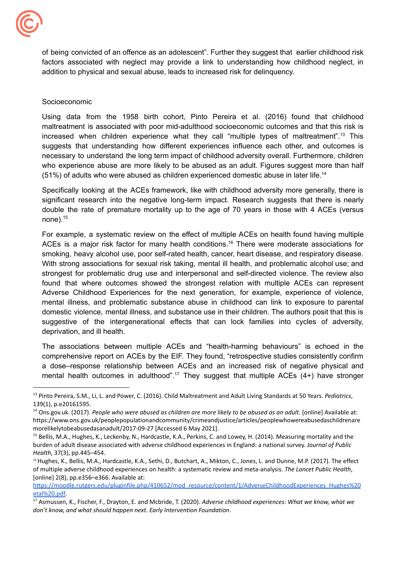

 addition to physical and sexual abuse, leads to increased risk for delinquency. of being convicted of an offence as an adolescent". Further they suggest that earlier childhood risk factors associated with neglect may provide a link to understanding how childhood neglect, in

#### Socioeconomic

(51%) of adults who were abused as children experienced domestic abuse in later life.<sup>14</sup> Using data from the 1958 birth cohort, Pinto Pereira et al. (2016) found that childhood maltreatment is associated with poor mid-adulthood socioeconomic outcomes and that this risk is increased when children experience what they call "multiple types of [maltreatment".13](https://maltreatment�.13) This suggests that understanding how different experiences influence each other, and outcomes is necessary to understand the long term impact of childhood adversity overall. Furthermore, children who experience abuse are more likely to be abused as an adult. Figures suggest more than half

Specifically looking at the ACEs framework, like with childhood adversity more generally, there is significant research into the negative long-term impact. Research suggests that there is nearly double the rate of premature mortality up to the age of 70 years in those with 4 ACEs (versus none). $15$ 

 deprivation, and ill health. For example, a systematic review on the effect of multiple ACEs on health found having multiple ACEs is a major risk factor for many health conditions.<sup>16</sup> There were moderate associations for smoking, heavy alcohol use, poor self-rated health, cancer, heart disease, and respiratory disease. With strong associations for sexual risk taking, mental ill health, and problematic alcohol use; and strongest for problematic drug use and interpersonal and self-directed violence. The review also found that where outcomes showed the strongest relation with multiple ACEs can represent Adverse Childhood Experiences for the next generation, for example, experience of violence, mental illness, and problematic substance abuse in childhood can link to exposure to parental domestic violence, mental illness, and substance use in their children. The authors posit that this is suggestive of the intergenerational effects that can lock families into cycles of adversity,

The associations between multiple ACEs and "health-harming behaviours" is echoed in the comprehensive report on ACEs by the EIF. They found, "retrospective studies consistently confirm a dose–response relationship between ACEs and an increased risk of negative physical and mental health outcomes in adulthood".<sup>17</sup> They suggest that multiple ACEs  $(4+)$  have stronger

 <sup>13</sup> Pinto Pereira, S.M., Li, L. and Power, C. (2016). Child Maltreatment and Adult Living Standards at 50 Years. *Pediatrics*, 139(1), p.e20161595.

<sup>&</sup>lt;sup>14</sup> Ons.gov.uk. (2017). People who were abused as children are more likely to be abused as an adult. [online] Available at: morelikelytobeabusedasanadult/2017-09-27 [Accessed 6 May 2021]. <https://www.ons.gov.uk/peoplepopulationandcommunity/crimeandjustice/articles/peoplewhowereabusedaschildrenare>

<sup>&</sup>lt;sup>15</sup> Bellis, M.A., Hughes, K., Leckenby, N., Hardcastle, K.A., Perkins, C. and Lowey, H. (2014). Measuring mortality and the burden of adult disease associated with adverse childhood experiences in England: a national survey. *Journal of Public Health*, 37(3), pp.445–454.

 <sup>16</sup> Hughes, K., Bellis, M.A., Hardcastle, K.A., Sethi, D., Butchart, A., Mikton, C., Jones, L. and Dunne, M.P. (2017). The effect of multiple adverse childhood experiences on health: a systematic review and meta-analysis. *The Lancet Public Health*, [online] 2(8), pp.e356–e366. Available at:

[https://moodle.rutgers.edu/pluginfile.php/410652/mod\\_resource/content/1/AdverseChildhoodExperiences\\_Hughes%20](https://moodle.rutgers.edu/pluginfile.php/410652/mod_resource/content/1/AdverseChildhoodExperiences_Hughes%20etal%20.pdf) [etal%20.pdf](https://moodle.rutgers.edu/pluginfile.php/410652/mod_resource/content/1/AdverseChildhoodExperiences_Hughes%20etal%20.pdf).

 <sup>17</sup> Asmussen, K., Fischer, F., Drayton, E. and Mcbride, T. (2020). *Adverse childhood experiences: What we know, what we don't know, and what should happen next*. *Early Intervention Foundation*.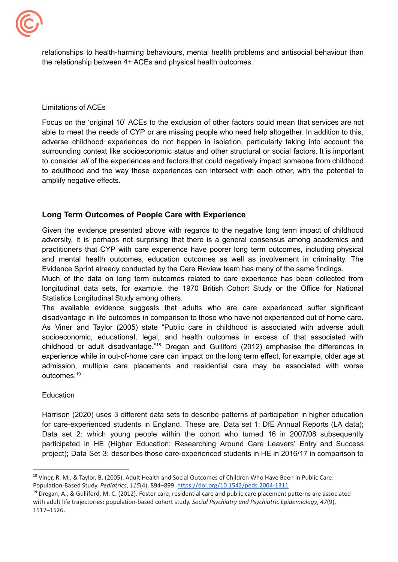

 the relationship between 4+ ACEs and physical health outcomes. relationships to health-harming behaviours, mental health problems and antisocial behaviour than

Limitations of ACEs

 amplify negative effects. Focus on the 'original 10' ACEs to the exclusion of other factors could mean that services are not able to meet the needs of CYP or are missing people who need help altogether. In addition to this, adverse childhood experiences do not happen in isolation, particularly taking into account the surrounding context like socioeconomic status and other structural or social factors. It is important to consider *all* of the experiences and factors that could negatively impact someone from childhood to adulthood and the way these experiences can intersect with each other, with the potential to

## **Long Term Outcomes of People Care with Experience**

 Evidence Sprint already conducted by the Care Review team has many of the same findings. Given the evidence presented above with regards to the negative long term impact of childhood adversity, it is perhaps not surprising that there is a general consensus among academics and practitioners that CYP with care experience have poorer long term outcomes, including physical and mental health outcomes, education outcomes as well as involvement in criminality. The

 Statistics Longitudinal Study among others. Much of the data on long term outcomes related to care experience has been collected from longitudinal data sets, for example, the 1970 British Cohort Study or the Office for National

The available evidence suggests that adults who are care experienced suffer significant disadvantage in life outcomes in comparison to those who have not experienced out of home care. As Viner and Taylor (2005) state "Public care in childhood is associated with adverse adult socioeconomic, educational, legal, and health outcomes in excess of that associated with childhood or adult disadvantage."18 Dregan and Gulliford (2012) emphasise the differences in experience while in out-of-home care can impact on the long term effect, for example, older age at admission, multiple care placements and residential care may be associated with worse [outcomes.19](https://outcomes.19)

Education

Harrison (2020) uses 3 different data sets to describe patterns of participation in higher education for care-experienced students in England. These are, Data set 1: DfE Annual Reports (LA data); Data set 2: which young people within the cohort who turned 16 in 2007/08 subsequently participated in HE (Higher Education: Researching Around Care Leavers' Entry and Success project); Data Set 3: describes those care-experienced students in HE in 2016/17 in comparison to

<sup>&</sup>lt;sup>18</sup> Viner, R. M., & Taylor, B. (2005). Adult Health and Social Outcomes of Children Who Have Been in Public Care: Population-Based Study. *Pediatrics*, *115*(4), 894–899. <https://doi.org/10.1542/peds.2004-1311>

<sup>&</sup>lt;sup>19</sup> Dregan, A., & Gulliford, M. C. (2012). Foster care, residential care and public care placement patterns are associated with adult life trajectories: population-based cohort study. *Social Psychiatry and Psychiatric Epidemiology*, *47*(9), 1517–1526.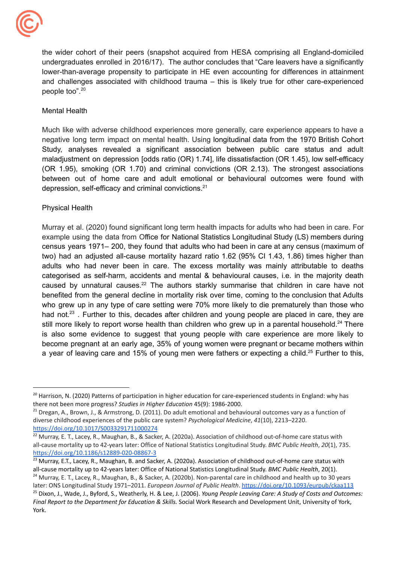

the wider cohort of their peers (snapshot acquired from HESA comprising all England-domiciled undergraduates enrolled in 2016/17). The author concludes that "Care leavers have a significantly lower-than-average propensity to participate in HE even accounting for differences in attainment and challenges associated with childhood trauma – this is likely true for other care-experienced people too".20

## Mental Health

depression, self-efficacy and criminal convictions.<sup>21</sup> Much like with adverse childhood experiences more generally, care experience appears to have a negative long term impact on mental health. Using longitudinal data from the 1970 British Cohort Study, analyses revealed a significant association between public care status and adult maladjustment on depression [odds ratio (OR) 1.74], life dissatisfaction (OR 1.45), low self-efficacy (OR 1.95), smoking (OR 1.70) and criminal convictions (OR 2.13). The strongest associations between out of home care and adult emotional or behavioural outcomes were found with

## Physical Health

Murray et al. (2020) found significant long term health impacts for adults who had been in care. For example using the data from Office for National Statistics Longitudinal Study (LS) members during census years 1971– 200, they found that adults who had been in care at any census (maximum of two) had an adjusted all-cause mortality hazard ratio 1.62 (95% CI 1.43, 1.86) times higher than adults who had never been in care. The excess mortality was mainly attributable to deaths categorised as self-harm, accidents and mental & behavioural causes, i.e. in the majority death caused by unnatural causes.<sup>22</sup> The authors starkly summarise that children in care have not benefited from the general decline in mortality risk over time, coming to the conclusion that Adults who grew up in any type of care setting were 70% more likely to die prematurely than those who had not.<sup>23</sup>. Further to this, decades after children and young people are placed in care, they are still more likely to report worse health than children who grew up in a parental household.<sup>24</sup> There is also some evidence to suggest that young people with care experience are more likely to become pregnant at an early age, 35% of young women were pregnant or became mothers within a year of leaving care and 15% of young men were fathers or expecting a child.<sup>25</sup> Further to this,

<sup>24</sup> Murray, E. T., Lacey, R., Maughan, B., & Sacker, A. (2020b). Non-parental care in childhood and health up to 30 years later: ONS Longitudinal Study 1971–2011. *European Journal of Public Health*. <https://doi.org/10.1093/eurpub/ckaa113>

<sup>&</sup>lt;sup>20</sup> Harrison, N. (2020) Patterns of participation in higher education for care-experienced students in England: why has there not been more progress? *Studies in Higher Education* 45(9): 1986-2000.

<sup>&</sup>lt;sup>21</sup> Dregan, A., Brown, J., & Armstrong, D. (2011). Do adult emotional and behavioural outcomes vary as a function of diverse childhood experiences of the public care system? *Psychological Medicine*, *41*(10), 2213–2220. <https://doi.org/10.1017/S0033291711000274>

<sup>&</sup>lt;sup>22</sup> Murray, E. T., Lacey, R., Maughan, B., & Sacker, A. (2020a). Association of childhood out-of-home care status with all-cause mortality up to 42-years later: Office of National Statistics Longitudinal Study. *BMC Public Health*, *20*(1), 735. <https://doi.org/10.1186/s12889-020-08867-3>

<sup>&</sup>lt;sup>23</sup> Murray, E.T., Lacey, R., Maughan, B. and Sacker, A. (2020a). Association of childhood out-of-home care status with all-cause mortality up to 42-years later: Office of National Statistics Longitudinal Study. *BMC Public Health*, 20(1).

 <sup>25</sup> Dixon, J., Wade, J., Byford, S., Weatherly, H. & Lee, J. (2006). *Young People Leaving Care: A Study of Costs and Outcomes: Final Report to the Department for Education & Skills.* Social Work Research and Development Unit, University of York, York.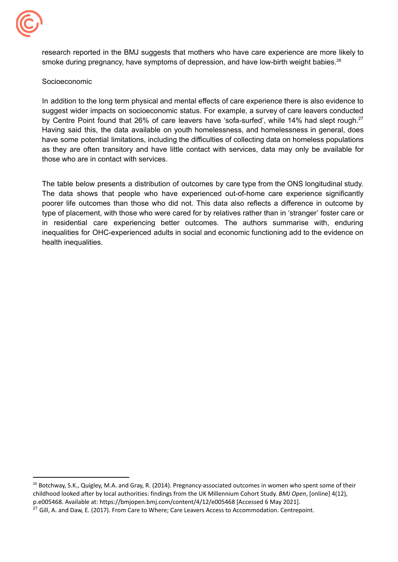

smoke during pregnancy, have symptoms of depression, and have low-birth weight babies.<sup>26</sup> research reported in the BMJ suggests that mothers who have care experience are more likely to

### Socioeconomic

 those who are in contact with services. In addition to the long term physical and mental effects of care experience there is also evidence to suggest wider impacts on socioeconomic status. For example, a survey of care leavers conducted by Centre Point found that 26% of care leavers have 'sofa-surfed', while 14% had slept rough.<sup>27</sup> Having said this, the data available on youth homelessness, and homelessness in general, does have some potential limitations, including the difficulties of collecting data on homeless populations as they are often transitory and have little contact with services, data may only be available for

The table below presents a distribution of outcomes by care type from the ONS longitudinal study. The data shows that people who have experienced out-of-home care experience significantly poorer life outcomes than those who did not. This data also reflects a difference in outcome by type of placement, with those who were cared for by relatives rather than in 'stranger' foster care or in residential care experiencing better outcomes. The authors summarise with, enduring inequalities for OHC-experienced adults in social and economic functioning add to the evidence on health inequalities.

<sup>&</sup>lt;sup>26</sup> Botchway, S.K., Quigley, M.A. and Gray, R. (2014). Pregnancy-associated outcomes in women who spent some of their childhood looked after by local authorities: findings from the UK Millennium Cohort Study. *BMJ Open*, [online] 4(12), p.e005468. Available at: <https://bmjopen.bmj.com/content/4/12/e005468> [Accessed 6 May 2021].

 $^{27}$  Gill, A. and Daw, E. (2017). From Care to Where; Care Leavers Access to Accommodation. Centrepoint.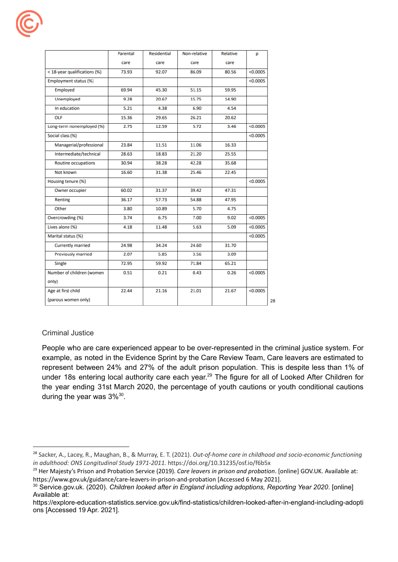|                              | Parental | Residential | Non-relative | Relative | p        |    |
|------------------------------|----------|-------------|--------------|----------|----------|----|
|                              | care     | care        | care         | care     |          |    |
| < 18-year qualifications (%) | 73.93    | 92.07       | 86.09        | 80.56    | < 0.0005 |    |
| Employment status (%)        |          |             |              |          | < 0.0005 |    |
| Employed                     | 69.94    | 45.30       | 51.15        | 59.95    |          |    |
| Unemployed                   | 9.28     | 20.67       | 15.75        | 14.90    |          |    |
| In education                 | 5.21     | 4.38        | 6.90         | 4.54     |          |    |
| OLF                          | 15.36    | 29.65       | 26.21        | 20.62    |          |    |
| Long-term nonemployed (%)    | 2.75     | 12.59       | 5.72         | 3.46     | < 0.0005 |    |
| Social class (%)             |          |             |              |          | < 0.0005 |    |
| Managerial/professional      | 23.84    | 11.51       | 11.06        | 16.33    |          |    |
| Intermediate/technical       | 28.63    | 18.83       | 21.20        | 25.55    |          |    |
| <b>Routine occupations</b>   | 30.94    | 38.28       | 42.28        | 35.68    |          |    |
| Not known                    | 16.60    | 31.38       | 25.46        | 22.45    |          |    |
| Housing tenure (%)           |          |             |              |          | < 0.0005 |    |
| Owner occupier               | 60.02    | 31.37       | 39.42        | 47.31    |          |    |
| Renting                      | 36.17    | 57.73       | 54.88        | 47.95    |          |    |
| Other                        | 3.80     | 10.89       | 5.70         | 4.75     |          |    |
| Overcrowding (%)             | 3.74     | 6.75        | 7.00         | 9.02     | < 0.0005 |    |
| Lives alone (%)              | 4.18     | 11.48       | 5.63         | 5.09     | < 0.0005 |    |
| Marital status (%)           |          |             |              |          | < 0.0005 |    |
| <b>Currently married</b>     | 24.98    | 34.24       | 24.60        | 31.70    |          |    |
| <b>Previously married</b>    | 2.07     | 5.85        | 3.56         | 3.09     |          |    |
| Single                       | 72.95    | 59.92       | 71.84        | 65.21    |          |    |
| Number of children (women    | 0.51     | 0.21        | 0.43         | 0.26     | < 0.0005 |    |
| only)                        |          |             |              |          |          |    |
| Age at first child           | 22.44    | 21.16       | 21.01        | 21.67    | < 0.0005 |    |
| (parous women only)          |          |             |              |          |          | 28 |

## Criminal Justice

during the year was  $3\%^{30}$ . People who are care experienced appear to be over-represented in the criminal justice system. For example, as noted in the Evidence Sprint by the Care Review Team, Care leavers are estimated to represent between 24% and 27% of the adult prison population. This is despite less than 1% of under 18s entering local authority care each year.<sup>29</sup> The figure for all of Looked After Children for the year ending 31st March 2020, the percentage of youth cautions or youth conditional cautions

 <sup>28</sup> Sacker, A., Lacey, R., Maughan, B., & Murray, E. T. (2021). *Out-of-home care in childhood and socio-economic functioning in adulthood: ONS Longitudinal Study 1971-2011.* <https://doi.org/10.31235/osf.io/f6b5x>

 <sup>29</sup> Her Majesty's Prison and Probation Service (2019). *Care leavers in prison and probation*. [online] GOV.UK. Available at: <https://www.gov.uk/guidance/care-leavers-in-prison-and-probation> [Accessed 6 May 2021].

 <sup>30</sup> Service.gov.uk. (2020). *Children looked after in England including adoptions, Reporting Year 2020*. [online] Available at:

 ons [Accessed 19 Apr. 2021].<https://explore-education-statistics.service.gov.uk/find-statistics/children-looked-after-in-england-including-adopti>